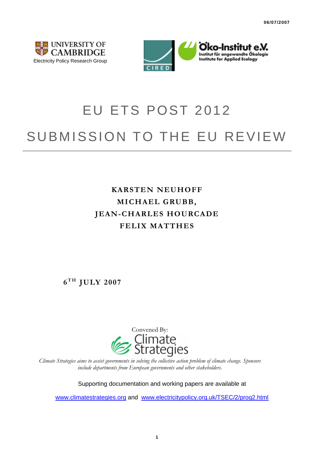



# EU ETS POST 2012 SUBMISSION TO THE EU REVIEW

## **KARSTEN NEUHOFF MICHAEL GRUBB, JEAN-CHARLES HOURCADE FELIX MATTHES**

 $6^{TH}$  **JULY 2007** 



*Climate Strategies aims to assist governments in solving the collective action problem of climate change. Sponsors include departments from European governments and other stakeholders.* 

Supporting documentation and working papers are available at

[www.climatestrategies.org](http://www.climatestrategies.org/) and [www.electricitypolicy.org.uk/TSEC/2/prog2.html](http://www.electricitypolicy.org.uk/TSEC/2/prog2.html)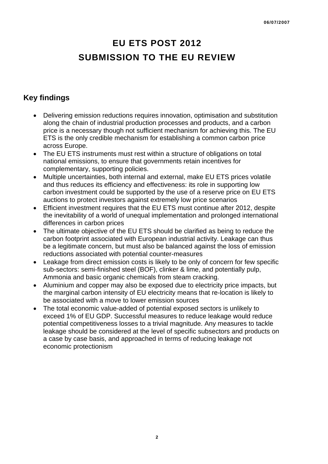# **EU ETS POST 2012 SUBMISSION TO THE EU REVIEW**

## **Key findings**

- Delivering emission reductions requires innovation, optimisation and substitution along the chain of industrial production processes and products, and a carbon price is a necessary though not sufficient mechanism for achieving this. The EU ETS is the only credible mechanism for establishing a common carbon price across Europe.
- The EU ETS instruments must rest within a structure of obligations on total national emissions, to ensure that governments retain incentives for complementary, supporting policies.
- Multiple uncertainties, both internal and external, make EU ETS prices volatile and thus reduces its efficiency and effectiveness: its role in supporting low carbon investment could be supported by the use of a reserve price on EU ETS auctions to protect investors against extremely low price scenarios
- Efficient investment requires that the EU ETS must continue after 2012, despite the inevitability of a world of unequal implementation and prolonged international differences in carbon prices
- The ultimate objective of the EU ETS should be clarified as being to reduce the carbon footprint associated with European industrial activity. Leakage can thus be a legitimate concern, but must also be balanced against the loss of emission reductions associated with potential counter-measures
- Leakage from direct emission costs is likely to be only of concern for few specific sub-sectors: semi-finished steel (BOF), clinker & lime, and potentially pulp, Ammonia and basic organic chemicals from steam cracking.
- Aluminium and copper may also be exposed due to electricity price impacts, but the marginal carbon intensity of EU electricity means that re-location is likely to be associated with a move to lower emission sources
- The total economic value-added of potential exposed sectors is unlikely to exceed 1% of EU GDP. Successful measures to reduce leakage would reduce potential competitiveness losses to a trivial magnitude. Any measures to tackle leakage should be considered at the level of specific subsectors and products on a case by case basis, and approached in terms of reducing leakage not economic protectionism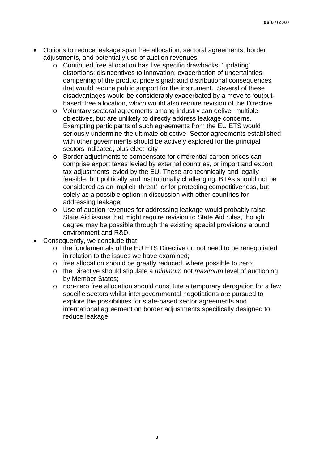- Options to reduce leakage span free allocation, sectoral agreements, border adjustments, and potentially use of auction revenues:
	- o Continued free allocation has five specific drawbacks: 'updating' distortions; disincentives to innovation; exacerbation of uncertainties; dampening of the product price signal; and distributional consequences that would reduce public support for the instrument. Several of these disadvantages would be considerably exacerbated by a move to 'outputbased' free allocation, which would also require revision of the Directive
	- o Voluntary sectoral agreements among industry can deliver multiple objectives, but are unlikely to directly address leakage concerns. Exempting participants of such agreements from the EU ETS would seriously undermine the ultimate objective. Sector agreements established with other governments should be actively explored for the principal sectors indicated, plus electricity
	- o Border adjustments to compensate for differential carbon prices can comprise export taxes levied by external countries, or import and export tax adjustments levied by the EU. These are technically and legally feasible, but politically and institutionally challenging. BTAs should not be considered as an implicit 'threat', or for protecting competitiveness, but solely as a possible option in discussion with other countries for addressing leakage
	- o Use of auction revenues for addressing leakage would probably raise State Aid issues that might require revision to State Aid rules, though degree may be possible through the existing special provisions around environment and R&D.
- Consequently, we conclude that:
	- o the fundamentals of the EU ETS Directive do not need to be renegotiated in relation to the issues we have examined;
	- o free allocation should be greatly reduced, where possible to zero;
	- o the Directive should stipulate a *minimum* not *maximum* level of auctioning by Member States;
	- o non-zero free allocation should constitute a temporary derogation for a few specific sectors whilst intergovernmental negotiations are pursued to explore the possibilities for state-based sector agreements and international agreement on border adjustments specifically designed to reduce leakage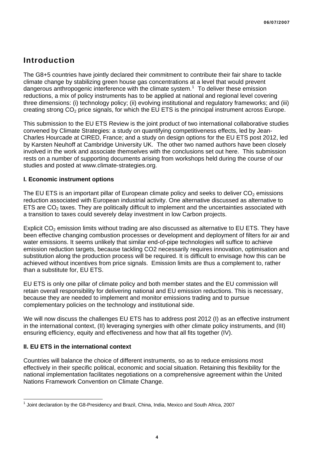### **Introduction**

The G8+5 countries have jointly declared their commitment to contribute their fair share to tackle climate change by stabilizing green house gas concentrations at a level that would prevent dangerous anthropogenic interference with the climate system.<sup>[1](#page-3-0)</sup> To deliver these emission reductions, a mix of policy instruments has to be applied at national and regional level covering three dimensions: (i) technology policy; (ii) evolving institutional and regulatory frameworks; and (iii) creating strong  $CO<sub>2</sub>$  price signals, for which the EU ETS is the principal instrument across Europe.

This submission to the EU ETS Review is the joint product of two international collaborative studies convened by Climate Strategies: a study on quantifying competitiveness effects, led by Jean-Charles Hourcade at CIRED, France; and a study on design options for the EU ETS post 2012, led by Karsten Neuhoff at Cambridge University UK. The other two named authors have been closely involved in the work and associate themselves with the conclusions set out here. This submission rests on a number of supporting documents arising from workshops held during the course of our studies and posted at www.climate-strategies.org.

#### **I. Economic instrument options**

The EU ETS is an important pillar of European climate policy and seeks to deliver  $CO<sub>2</sub>$  emissions reduction associated with European industrial activity. One alternative discussed as alternative to ETS are  $CO<sub>2</sub>$  taxes. They are politically difficult to implement and the uncertainties associated with a transition to taxes could severely delay investment in low Carbon projects.

Explicit CO<sub>2</sub> emission limits without trading are also discussed as alternative to EU ETS. They have been effective changing combustion processes or development and deployment of filters for air and water emissions. It seems unlikely that similar end-of-pipe technologies will suffice to achieve emission reduction targets, because tackling CO2 necessarily requires innovation, optimisation and substitution along the production process will be required. It is difficult to envisage how this can be achieved without incentives from price signals. Emission limits are thus a complement to, rather than a substitute for, EU ETS.

EU ETS is only one pillar of climate policy and both member states and the EU commission will retain overall responsibility for delivering national and EU emission reductions. This is necessary, because they are needed to implement and monitor emissions trading and to pursue complementary policies on the technology and institutional side.

We will now discuss the challenges EU ETS has to address post 2012 (I) as an effective instrument in the international context, (II) leveraging synergies with other climate policy instruments, and (III) ensuring efficiency, equity and effectiveness and how that all fits together (IV).

#### **II. EU ETS in the international context**

Countries will balance the choice of different instruments, so as to reduce emissions most effectively in their specific political, economic and social situation. Retaining this flexibility for the national implementation facilitates negotiations on a comprehensive agreement within the United Nations Framework Convention on Climate Change.

<span id="page-3-0"></span>  $<sup>1</sup>$  Joint declaration by the G8-Presidency and Brazil, China, India, Mexico and South Africa, 2007</sup>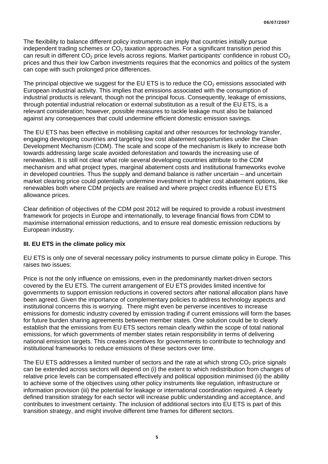The flexibility to balance different policy instruments can imply that countries initially pursue independent trading schemes or  $CO<sub>2</sub>$  taxation approaches. For a significant transition period this can result in different  $CO<sub>2</sub>$  price levels across regions. Market participants' confidence in robust  $CO<sub>2</sub>$ prices and thus their low Carbon investments requires that the economics and politics of the system can cope with such prolonged price differences.

The principal objective we suggest for the EU ETS is to reduce the  $CO<sub>2</sub>$  emissions associated with European industrial activity. This implies that emissions associated with the consumption of industrial products is relevant, though not the principal focus. Consequently, leakage of emissions, through potential industrial relocation or external substitution as a result of the EU ETS, is a relevant consideration; however, possible measures to tackle leakage must also be balanced against any consequences that could undermine efficient domestic emission savings.

The EU ETS has been effective in mobilising capital and other resources for technology transfer, engaging developing countries and targeting low cost abatement opportunities under the Clean Development Mechanism (CDM). The scale and scope of the mechanism is likely to increase both towards addressing large scale avoided deforestation and towards the increasing use of renewables. It is still not clear what role several developing countries attribute to the CDM mechanism and what project types, marginal abatement costs and institutional frameworks evolve in developed countries. Thus the supply and demand balance is rather uncertain – and uncertain market clearing price could potentially undermine investment in higher cost abatement options, like renewables both where CDM projects are realised and where project credits influence EU ETS allowance prices.

Clear definition of objectives of the CDM post 2012 will be required to provide a robust investment framework for projects in Europe and internationally, to leverage financial flows from CDM to maximise international emission reductions, and to ensure real domestic emission reductions by European industry.

#### **III. EU ETS in the climate policy mix**

EU ETS is only one of several necessary policy instruments to pursue climate policy in Europe. This raises two issues:

Price is not the only influence on emissions, even in the predominantly market-driven sectors covered by the EU ETS. The current arrangement of EU ETS provides limited incentive for governments to support emission reductions in covered sectors after national allocation plans have been agreed. Given the importance of complementary policies to address technology aspects and institutional concerns this is worrying. There might even be perverse incentives to increase emissions for domestic industry covered by emission trading if current emissions will form the bases for future burden sharing agreements between member states. One solution could be to clearly establish that the emissions from EU ETS sectors remain clearly within the scope of total national emissions, for which governments of member states retain responsibility in terms of delivering national emission targets. This creates incentives for governments to contribute to technology and institutional frameworks to reduce emissions of these sectors over time.

The EU ETS addresses a limited number of sectors and the rate at which strong  $CO<sub>2</sub>$  price signals can be extended across sectors will depend on (i) the extent to which redistribution from changes of relative price levels can be compensated effectively and political opposition minimised (ii) the ability to achieve some of the objectives using other policy instruments like regulation, infrastructure or information provision (iii) the potential for leakage or international coordination required. A clearly defined transition strategy for each sector will increase public understanding and acceptance, and contributes to investment certainty. The inclusion of additional sectors into EU ETS is part of this transition strategy, and might involve different time frames for different sectors.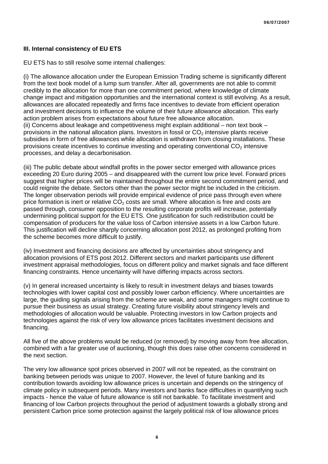#### **III. Internal consistency of EU ETS**

EU ETS has to still resolve some internal challenges:

(i) The allowance allocation under the European Emission Trading scheme is significantly different from the text book model of a lump sum transfer. After all, governments are not able to commit credibly to the allocation for more than one commitment period, where knowledge of climate change impact and mitigation opportunities and the international context is still evolving. As a result, allowances are allocated repeatedly and firms face incentives to deviate from efficient operation and investment decisions to influence the volume of their future allowance allocation. This early action problem arises from expectations about future free allowance allocation. (ii) Concerns about leakage and competitiveness might explain additional – non text book – provisions in the national allocation plans. Investors in fossil or  $CO<sub>2</sub>$  intensive plants receive subsidies in form of free allowances while allocation is withdrawn from closing installations. These provisions create incentives to continue investing and operating conventional  $CO<sub>2</sub>$  intensive processes, and delay a decarbonisation.

(iii) The public debate about windfall profits in the power sector emerged with allowance prices exceeding 20 Euro during 2005 – and disappeared with the current low price level. Forward prices suggest that higher prices will be maintained throughout the entire second commitment period, and could reignite the debate. Sectors other than the power sector might be included in the criticism. The longer observation periods will provide empirical evidence of price pass through even where price formation is inert or relative  $CO<sub>2</sub>$  costs are small. Where allocation is free and costs are passed through, consumer opposition to the resulting corporate profits will increase, potentially undermining political support for the EU ETS. One justification for such redistribution could be compensation of producers for the value loss of Carbon intensive assets in a low Carbon future. This justification will decline sharply concerning allocation post 2012, as prolonged profiting from the scheme becomes more difficult to justify.

(iv) Investment and financing decisions are affected by uncertainties about stringency and allocation provisions of ETS post 2012. Different sectors and market participants use different investment appraisal methodologies, focus on different policy and market signals and face different financing constraints. Hence uncertainty will have differing impacts across sectors.

(v) In general increased uncertainty is likely to result in investment delays and biases towards technologies with lower capital cost and possibly lower carbon efficiency. Where uncertainties are large, the guiding signals arising from the scheme are weak, and some managers might continue to pursue their business as usual strategy. Creating future visibility about stringency levels and methodologies of allocation would be valuable. Protecting investors in low Carbon projects and technologies against the risk of very low allowance prices facilitates investment decisions and financing.

All five of the above problems would be reduced (or removed) by moving away from free allocation, combined with a far greater use of auctioning, though this does raise other concerns considered in the next section.

The very low allowance spot prices observed in 2007 will not be repeated, as the constraint on banking between periods was unique to 2007. However, the level of future banking and its contribution towards avoiding low allowance prices is uncertain and depends on the stringency of climate policy in subsequent periods. Many investors and banks face difficulties in quantifying such impacts - hence the value of future allowance is still not bankable. To facilitate investment and financing of low Carbon projects throughout the period of adjustment towards a globally strong and persistent Carbon price some protection against the largely political risk of low allowance prices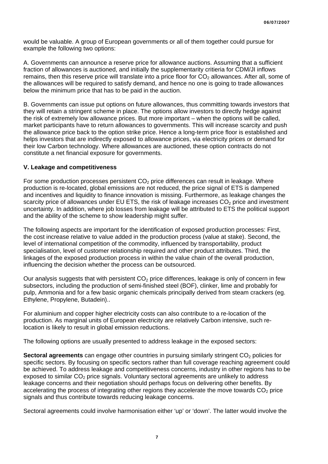would be valuable. A group of European governments or all of them together could pursue for example the following two options:

A. Governments can announce a reserve price for allowance auctions. Assuming that a sufficient fraction of allowances is auctioned, and initially the supplementarity critieria for CDM/JI inflows remains, then this reserve price will translate into a price floor for  $CO<sub>2</sub>$  allowances. After all, some of the allowances will be required to satisfy demand, and hence no one is going to trade allowances below the minimum price that has to be paid in the auction.

B. Governments can issue put options on future allowances, thus committing towards investors that they will retain a stringent scheme in place. The options allow investors to directly hedge against the risk of extremely low allowance prices. But more important – when the options will be called, market participants have to return allowances to governments. This will increase scarcity and push the allowance price back to the option strike price. Hence a long-term price floor is established and helps investors that are indirectly exposed to allowance prices, via electricity prices or demand for their low Carbon technology. Where allowances are auctioned, these option contracts do not constitute a net financial exposure for governments.

#### **V. Leakage and competitiveness**

For some production processes persistent  $CO<sub>2</sub>$  price differences can result in leakage. Where production is re-located, global emissions are not reduced, the price signal of ETS is dampened and incentives and liquidity to finance innovation is missing. Furthermore, as leakage changes the scarcity price of allowances under EU ETS, the risk of leakage increases  $CO<sub>2</sub>$  price and investment uncertainty. In addition, where job losses from leakage will be attributed to ETS the political support and the ability of the scheme to show leadership might suffer.

The following aspects are important for the identification of exposed production processes: First, the cost increase relative to value added in the production process (value at stake). Second, the level of international competition of the commodity, influenced by transportability, product specialisation, level of customer relationship required and other product attributes. Third, the linkages of the exposed production process in within the value chain of the overall production, influencing the decision whether the process can be outsourced.

Our analysis suggests that with persistent  $CO<sub>2</sub>$  price differences, leakage is only of concern in few subsectors, including the production of semi-finished steel (BOF), clinker, lime and probably for pulp, Ammonia and for a few basic organic chemicals principally derived from steam crackers (eg. Ethylene, Propylene, Butadein)..

For aluminium and copper higher electricity costs can also contribute to a re-location of the production. As marginal units of European electricity are relatively Carbon intensive, such relocation is likely to result in global emission reductions.

The following options are usually presented to address leakage in the exposed sectors:

**Sectoral agreements** can engage other countries in pursuing similarly stringent CO<sub>2</sub> policies for specific sectors. By focusing on specific sectors rather than full coverage reaching agreement could be achieved. To address leakage and competitiveness concerns, industry in other regions has to be exposed to similar  $CO<sub>2</sub>$  price signals. Voluntary sectoral agreements are unlikely to address leakage concerns and their negotiation should perhaps focus on delivering other benefits. By accelerating the process of integrating other regions they accelerate the move towards  $CO<sub>2</sub>$  price signals and thus contribute towards reducing leakage concerns.

Sectoral agreements could involve harmonisation either 'up' or 'down'. The latter would involve the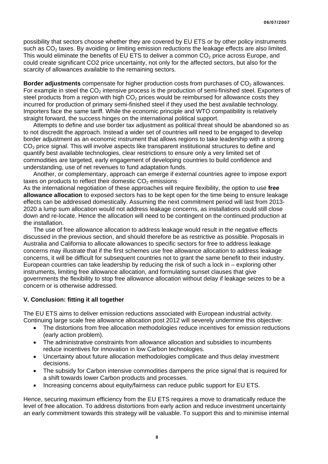possibility that sectors choose whether they are covered by EU ETS or by other policy instruments such as CO<sub>2</sub> taxes. By avoiding or limiting emission reductions the leakage effects are also limited. This would eliminate the benefits of EU ETS to deliver a common  $CO<sub>2</sub>$  price across Europe, and could create significant CO2 price uncertainty, not only for the affected sectors, but also for the scarcity of allowances available to the remaining sectors.

**Border adjustments** compensate for higher production costs from purchases of CO<sub>2</sub> allowances. For example in steel the  $CO<sub>2</sub>$  intensive process is the production of semi-finished steel. Exporters of steel products from a region with high  $CO<sub>2</sub>$  prices would be reimbursed for allowance costs they incurred for production of primary semi-finished steel if they used the best available technology. Importers face the same tariff. While the economic principle and WTO compatibility is relatively straight forward, the success hinges on the international political support.

 Attempts to define and use border tax adjustment as political threat should be abandoned so as to not discredit the approach. Instead a wider set of countries will need to be engaged to develop border adjustment as an economic instrument that allows regions to take leadership with a strong CO<sub>2</sub> price signal. This will involve aspects like transparent institutional structures to define and quantify best available technologies, clear restrictions to ensure only a very limited set of commodities are targeted, early engagement of developing countries to build confidence and understanding, use of net revenues to fund adaptation funds.

 Another, or complementary, approach can emerge if external countries agree to impose export taxes on products to reflect their domestic  $CO<sub>2</sub>$  emissions

As the international negotiation of these approaches will require flexibility, the option to use **free allowance allocation** to exposed sectors has to be kept open for the time being to ensure leakage effects can be addressed domestically. Assuming the next commitment period will last from 2013- 2020 a lump sum allocation would not address leakage concerns, as installations could still close down and re-locate. Hence the allocation will need to be contingent on the continued production at the installation.

 The use of free allowance allocation to address leakage would result in the negative effects discussed in the previous section, and should therefore be as restrictive as possible. Proposals in Australia and California to allocate allowances to specific sectors for free to address leakage concerns may illustrate that if the first schemes use free allowance allocation to address leakage concerns, it will be difficult for subsequent countries not to grant the same benefit to their industry. European countries can take leadership by reducing the risk of such a lock in – exploring other instruments, limiting free allowance allocation, and formulating sunset clauses that give governments the flexibility to stop free allowance allocation without delay if leakage seizes to be a concern or is otherwise addressed.

#### **V. Conclusion: fitting it all together**

The EU ETS aims to deliver emission reductions associated with European industrial activity. Continuing large scale free allowance allocation post 2012 will severely undermine this objective:

- The distortions from free allocation methodologies reduce incentives for emission reductions (early action problem).
- The administrative constraints from allowance allocation and subsidies to incumbents reduce incentives for innovation in low Carbon technologies.
- Uncertainty about future allocation methodologies complicate and thus delay investment decisions.
- The subsidy for Carbon intensive commodities dampens the price signal that is required for a shift towards lower Carbon products and processes.
- Increasing concerns about equity/fairness can reduce public support for EU ETS.

Hence, securing maximum efficiency from the EU ETS requires a move to dramatically reduce the level of free allocation. To address distortions from early action and reduce investment uncertainty an early commitment towards this strategy will be valuable. To support this and to minimise internal